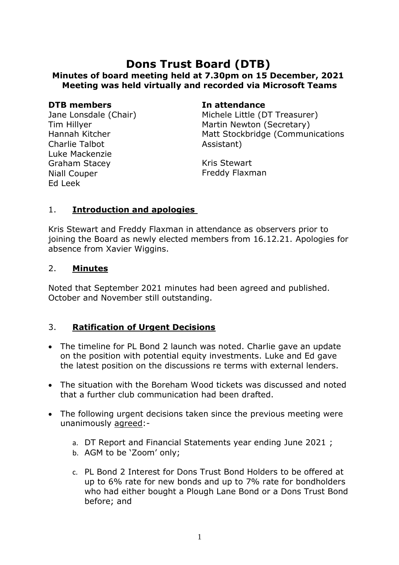# **Dons Trust Board (DTB) Minutes of board meeting held at 7.30pm on 15 December, 2021 Meeting was held virtually and recorded via Microsoft Teams**

#### **DTB members In attendance**

Jane Lonsdale (Chair) Tim Hillyer Hannah Kitcher Charlie Talbot Luke Mackenzie Graham Stacey Niall Couper Ed Leek

Michele Little (DT Treasurer) Martin Newton (Secretary) Matt Stockbridge (Communications Assistant)

Kris Stewart Freddy Flaxman

### 1. **Introduction and apologies**

Kris Stewart and Freddy Flaxman in attendance as observers prior to joining the Board as newly elected members from 16.12.21. Apologies for absence from Xavier Wiggins.

#### 2. **Minutes**

Noted that September 2021 minutes had been agreed and published. October and November still outstanding.

#### 3. **Ratification of Urgent Decisions**

- The timeline for PL Bond 2 launch was noted. Charlie gave an update on the position with potential equity investments. Luke and Ed gave the latest position on the discussions re terms with external lenders.
- The situation with the Boreham Wood tickets was discussed and noted that a further club communication had been drafted.
- The following urgent decisions taken since the previous meeting were unanimously agreed:
	- a. DT Report and Financial Statements year ending June 2021 ;
	- b. AGM to be 'Zoom' only;
	- c. PL Bond 2 Interest for Dons Trust Bond Holders to be offered at up to 6% rate for new bonds and up to 7% rate for bondholders who had either bought a Plough Lane Bond or a Dons Trust Bond before; and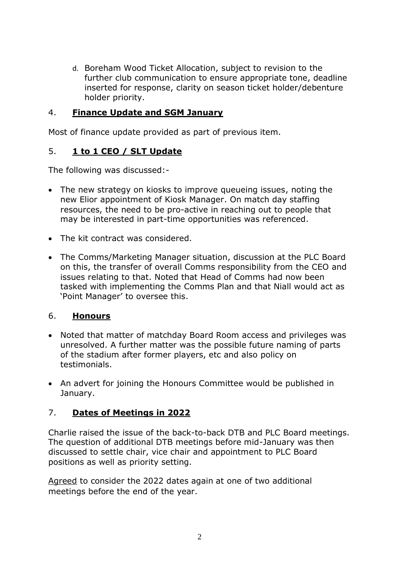d. Boreham Wood Ticket Allocation, subject to revision to the further club communication to ensure appropriate tone, deadline inserted for response, clarity on season ticket holder/debenture holder priority.

### 4. **Finance Update and SGM January**

Most of finance update provided as part of previous item.

# 5. **1 to 1 CEO / SLT Update**

The following was discussed:-

- The new strategy on kiosks to improve queueing issues, noting the new Elior appointment of Kiosk Manager. On match day staffing resources, the need to be pro-active in reaching out to people that may be interested in part-time opportunities was referenced.
- The kit contract was considered.
- The Comms/Marketing Manager situation, discussion at the PLC Board on this, the transfer of overall Comms responsibility from the CEO and issues relating to that. Noted that Head of Comms had now been tasked with implementing the Comms Plan and that Niall would act as 'Point Manager' to oversee this.

# 6. **Honours**

- Noted that matter of matchday Board Room access and privileges was unresolved. A further matter was the possible future naming of parts of the stadium after former players, etc and also policy on testimonials.
- An advert for joining the Honours Committee would be published in January.

# 7. **Dates of Meetings in 2022**

Charlie raised the issue of the back-to-back DTB and PLC Board meetings. The question of additional DTB meetings before mid-January was then discussed to settle chair, vice chair and appointment to PLC Board positions as well as priority setting.

Agreed to consider the 2022 dates again at one of two additional meetings before the end of the year.